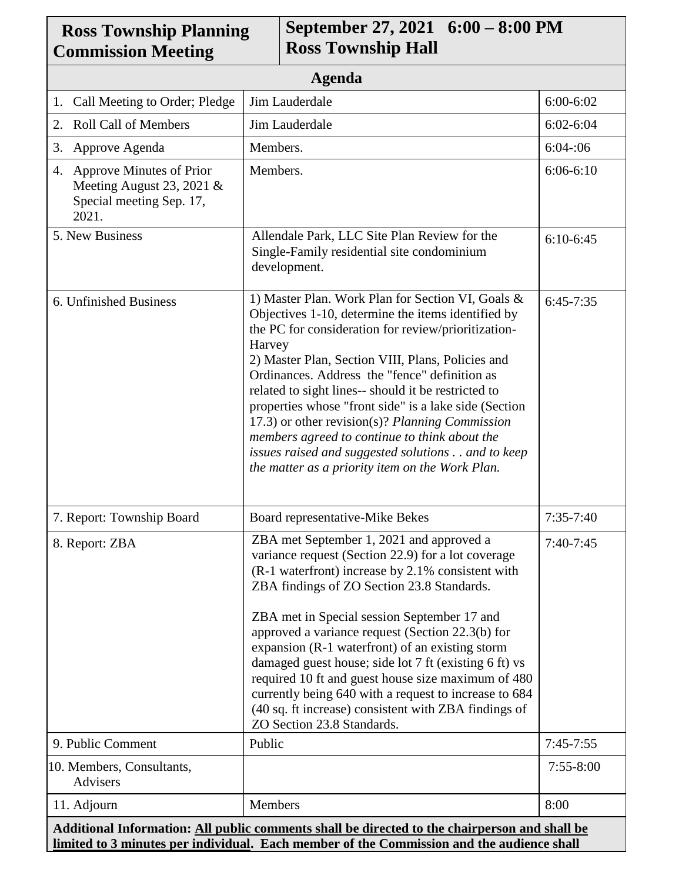| <b>Ross Township Planning</b><br><b>Commission Meeting</b>                                       |                                                                                                                                                                                                                                                                                                                                                                                                                                                                                                                                                                                                            | September 27, 2021 6:00 – 8:00 PM<br><b>Ross Township Hall</b>                                                                                                                                                                                                                                                                                                                                                                                                                                                                                                                          |               |  |
|--------------------------------------------------------------------------------------------------|------------------------------------------------------------------------------------------------------------------------------------------------------------------------------------------------------------------------------------------------------------------------------------------------------------------------------------------------------------------------------------------------------------------------------------------------------------------------------------------------------------------------------------------------------------------------------------------------------------|-----------------------------------------------------------------------------------------------------------------------------------------------------------------------------------------------------------------------------------------------------------------------------------------------------------------------------------------------------------------------------------------------------------------------------------------------------------------------------------------------------------------------------------------------------------------------------------------|---------------|--|
| <b>Agenda</b>                                                                                    |                                                                                                                                                                                                                                                                                                                                                                                                                                                                                                                                                                                                            |                                                                                                                                                                                                                                                                                                                                                                                                                                                                                                                                                                                         |               |  |
| Call Meeting to Order; Pledge<br>1.                                                              | Jim Lauderdale                                                                                                                                                                                                                                                                                                                                                                                                                                                                                                                                                                                             | 6:00-6:02                                                                                                                                                                                                                                                                                                                                                                                                                                                                                                                                                                               |               |  |
| 2. Roll Call of Members                                                                          | Jim Lauderdale                                                                                                                                                                                                                                                                                                                                                                                                                                                                                                                                                                                             | $6:02 - 6:04$                                                                                                                                                                                                                                                                                                                                                                                                                                                                                                                                                                           |               |  |
| Approve Agenda<br>3.                                                                             | Members.                                                                                                                                                                                                                                                                                                                                                                                                                                                                                                                                                                                                   | 6:04:06                                                                                                                                                                                                                                                                                                                                                                                                                                                                                                                                                                                 |               |  |
| 4. Approve Minutes of Prior<br>Meeting August 23, 2021 $\&$<br>Special meeting Sep. 17,<br>2021. | Members.                                                                                                                                                                                                                                                                                                                                                                                                                                                                                                                                                                                                   | $6:06-6:10$                                                                                                                                                                                                                                                                                                                                                                                                                                                                                                                                                                             |               |  |
| 5. New Business                                                                                  | Allendale Park, LLC Site Plan Review for the<br>Single-Family residential site condominium<br>development.                                                                                                                                                                                                                                                                                                                                                                                                                                                                                                 | $6:10-6:45$                                                                                                                                                                                                                                                                                                                                                                                                                                                                                                                                                                             |               |  |
| 6. Unfinished Business                                                                           | 1) Master Plan. Work Plan for Section VI, Goals &<br>Objectives 1-10, determine the items identified by<br>the PC for consideration for review/prioritization-<br>Harvey<br>2) Master Plan, Section VIII, Plans, Policies and<br>Ordinances. Address the "fence" definition as<br>related to sight lines-- should it be restricted to<br>properties whose "front side" is a lake side (Section<br>17.3) or other revision(s)? Planning Commission<br>members agreed to continue to think about the<br>issues raised and suggested solutions and to keep<br>the matter as a priority item on the Work Plan. | $6:45-7:35$                                                                                                                                                                                                                                                                                                                                                                                                                                                                                                                                                                             |               |  |
| 7. Report: Township Board                                                                        | Board representative-Mike Bekes                                                                                                                                                                                                                                                                                                                                                                                                                                                                                                                                                                            |                                                                                                                                                                                                                                                                                                                                                                                                                                                                                                                                                                                         | $7:35 - 7:40$ |  |
| 8. Report: ZBA                                                                                   |                                                                                                                                                                                                                                                                                                                                                                                                                                                                                                                                                                                                            | ZBA met September 1, 2021 and approved a<br>variance request (Section 22.9) for a lot coverage<br>(R-1 waterfront) increase by 2.1% consistent with<br>ZBA findings of ZO Section 23.8 Standards.<br>ZBA met in Special session September 17 and<br>approved a variance request (Section 22.3(b) for<br>expansion (R-1 waterfront) of an existing storm<br>damaged guest house; side lot 7 ft (existing 6 ft) vs<br>required 10 ft and guest house size maximum of 480<br>currently being 640 with a request to increase to 684<br>(40 sq. ft increase) consistent with ZBA findings of | $7:40-7:45$   |  |
| 9. Public Comment<br>Public                                                                      |                                                                                                                                                                                                                                                                                                                                                                                                                                                                                                                                                                                                            | ZO Section 23.8 Standards.                                                                                                                                                                                                                                                                                                                                                                                                                                                                                                                                                              | $7:45-7:55$   |  |
| 10. Members, Consultants,<br>Advisers                                                            |                                                                                                                                                                                                                                                                                                                                                                                                                                                                                                                                                                                                            |                                                                                                                                                                                                                                                                                                                                                                                                                                                                                                                                                                                         | $7:55 - 8:00$ |  |
| 11. Adjourn                                                                                      | Members                                                                                                                                                                                                                                                                                                                                                                                                                                                                                                                                                                                                    |                                                                                                                                                                                                                                                                                                                                                                                                                                                                                                                                                                                         | 8:00          |  |
| Additional Information: All public comments shall be directed to the chairperson and shall be    |                                                                                                                                                                                                                                                                                                                                                                                                                                                                                                                                                                                                            |                                                                                                                                                                                                                                                                                                                                                                                                                                                                                                                                                                                         |               |  |

**limited to 3 minutes per individual. Each member of the Commission and the audience shall**